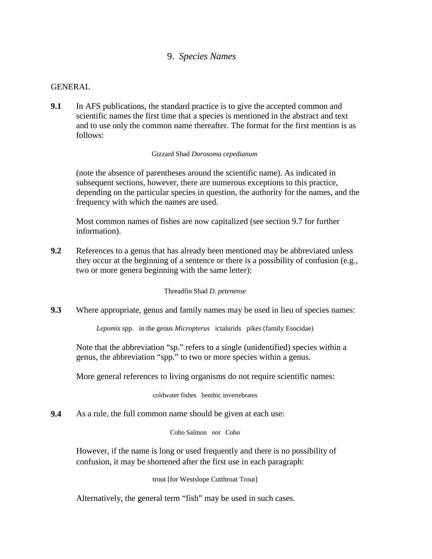# 9. *Species Names*

### GENERAL

**9.1** In AFS publications, the standard practice is to give the accepted common and scientific names the first time that a species is mentioned in the abstract and text and to use only the common name thereafter. The format for the first mention is as follows:

#### Gizzard Shad *Dorosoma cepedianum*

(note the absence of parentheses around the scientific name). As indicated in subsequent sections, however, there are numerous exceptions to this practice, depending on the particular species in question, the authority for the names, and the frequency with which the names are used.

Most common names of fishes are now capitalized (see section 9.7 for further information).

**9.2** References to a genus that has already been mentioned may be abbreviated unless they occur at the beginning of a sentence or there is a possibility of confusion (e.g., two or more genera beginning with the same letter):

Threadfin Shad *D. petenense*

**9.3** Where appropriate, genus and family names may be used in lieu of species names:

*Lepomis* spp. in the genus *Micropterus* ictalurids pikes (family Esocidae)

Note that the abbreviation "sp." refers to a single (unidentified) species within a genus, the abbreviation "spp." to two or more species within a genus.

More general references to living organisms do not require scientific names:

coldwater fishes benthic invertebrates

**9.4** As a rule, the full common name should be given at each use:

Coho Salmon *not* Coho

However, if the name is long or used frequently and there is no possibility of confusion, it may be shortened after the first use in each paragraph:

trout [for Westslope Cutthroat Trout]

Alternatively, the general term "fish" may be used in such cases.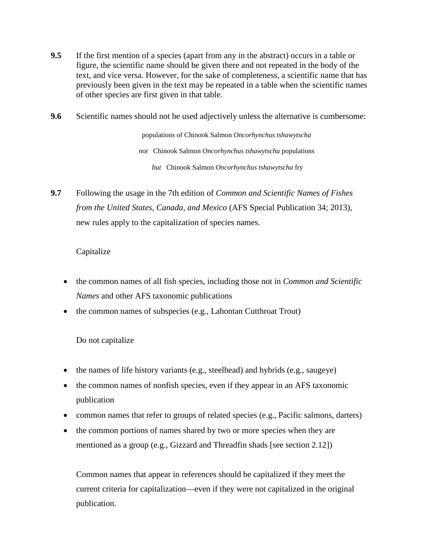- **9.5** If the first mention of a species (apart from any in the abstract) occurs in a table or figure, the scientific name should be given there and not repeated in the body of the text, and vice versa. However, for the sake of completeness, a scientific name that has previously been given in the text may be repeated in a table when the scientific names of other species are first given in that table.
- **9.6** Scientific names should not be used adjectively unless the alternative is cumbersome:

populations of Chinook Salmon *Oncorhynchus tshawytscha not* Chinook Salmon *Oncorhynchus tshawytscha* populations *but* Chinook Salmon *Oncorhynchus tshawytscha* fry

**9.7** Following the usage in the 7th edition of *Common and Scientific Names of Fishes from the United States, Canada, and Mexico* (AFS Special Publication 34; 2013), new rules apply to the capitalization of species names.

## Capitalize

- the common names of all fish species, including those not in *Common and Scientific Names* and other AFS taxonomic publications
- the common names of subspecies (e.g., Lahontan Cutthroat Trout)

# Do not capitalize

- the names of life history variants (e.g., steelhead) and hybrids (e.g., saugeye)
- the common names of nonfish species, even if they appear in an AFS taxonomic publication
- common names that refer to groups of related species (e.g., Pacific salmons, darters)
- the common portions of names shared by two or more species when they are mentioned as a group (e.g., Gizzard and Threadfin shads [see section 2.12])

Common names that appear in references should be capitalized if they meet the current criteria for capitalization—even if they were not capitalized in the original publication.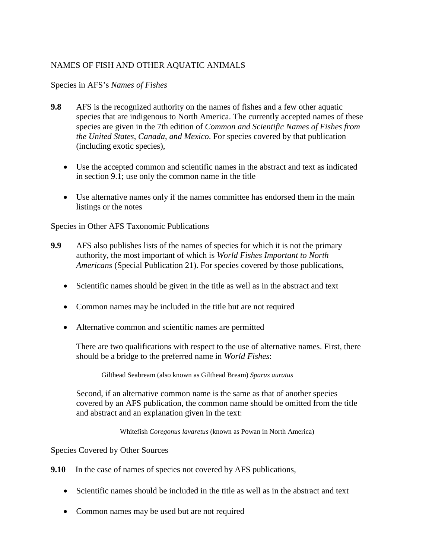# NAMES OF FISH AND OTHER AQUATIC ANIMALS

Species in AFS's *Names of Fishes*

- **9.8** AFS is the recognized authority on the names of fishes and a few other aquatic species that are indigenous to North America. The currently accepted names of these species are given in the 7th edition of *Common and Scientific Names of Fishes from the United States*, *Canada*, *and Mexico*. For species covered by that publication (including exotic species),
	- Use the accepted common and scientific names in the abstract and text as indicated in section 9.1; use only the common name in the title
	- Use alternative names only if the names committee has endorsed them in the main listings or the notes

Species in Other AFS Taxonomic Publications

- **9.9** AFS also publishes lists of the names of species for which it is not the primary authority, the most important of which is *World Fishes Important to North Americans* (Special Publication 21). For species covered by those publications,
	- Scientific names should be given in the title as well as in the abstract and text
	- Common names may be included in the title but are not required
	- Alternative common and scientific names are permitted

There are two qualifications with respect to the use of alternative names. First, there should be a bridge to the preferred name in *World Fishes*:

Gilthead Seabream (also known as Gilthead Bream) *Sparus auratus*

Second, if an alternative common name is the same as that of another species covered by an AFS publication, the common name should be omitted from the title and abstract and an explanation given in the text:

Whitefish *Coregonus lavaretus* (known as Powan in North America)

Species Covered by Other Sources

**9.10** In the case of names of species not covered by AFS publications,

- Scientific names should be included in the title as well as in the abstract and text
- Common names may be used but are not required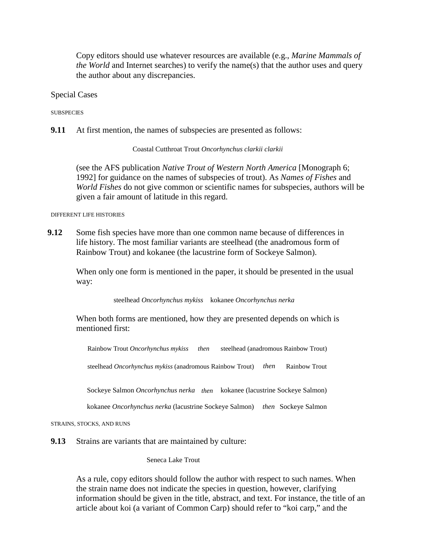Copy editors should use whatever resources are available (e.g., *Marine Mammals of the World* and Internet searches) to verify the name(s) that the author uses and query the author about any discrepancies.

Special Cases

**SUBSPECIES** 

**9.11** At first mention, the names of subspecies are presented as follows:

Coastal Cutthroat Trout *Oncorhynchus clarkii clarkii*

(see the AFS publication *Native Trout of Western North America* [Monograph 6; 1992] for guidance on the names of subspecies of trout). As *Names of Fishes* and *World Fishes* do not give common or scientific names for subspecies, authors will be given a fair amount of latitude in this regard.

DIFFERENT LIFE HISTORIES

**9.12** Some fish species have more than one common name because of differences in life history. The most familiar variants are steelhead (the anadromous form of Rainbow Trout) and kokanee (the lacustrine form of Sockeye Salmon).

When only one form is mentioned in the paper, it should be presented in the usual way:

steelhead *Oncorhynchus mykiss* kokanee *Oncorhynchus nerka*

When both forms are mentioned, how they are presented depends on which is mentioned first:

Rainbow Trout *Oncorhynchus mykiss then* steelhead (anadromous Rainbow Trout)

steelhead *Oncorhynchus mykiss* (anadromous Rainbow Trout) *then* Rainbow Trout

Sockeye Salmon *Oncorhynchus nerka then* kokanee (lacustrine Sockeye Salmon)

kokanee *Oncorhynchus nerka* (lacustrine Sockeye Salmon) *then* Sockeye Salmon

STRAINS, STOCKS, AND RUNS

**9.13** Strains are variants that are maintained by culture:

Seneca Lake Trout

As a rule, copy editors should follow the author with respect to such names. When the strain name does not indicate the species in question, however, clarifying information should be given in the title, abstract, and text. For instance, the title of an article about koi (a variant of Common Carp) should refer to "koi carp," and the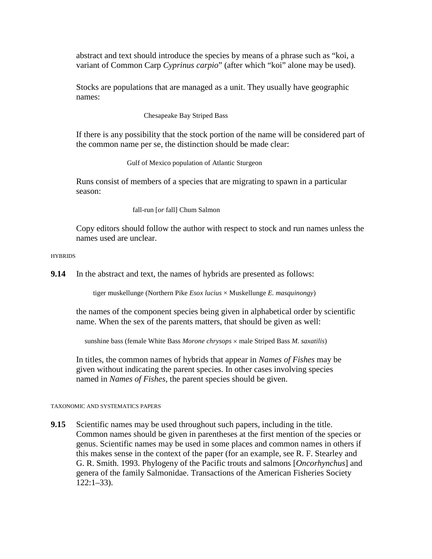abstract and text should introduce the species by means of a phrase such as "koi, a variant of Common Carp *Cyprinus carpio*" (after which "koi" alone may be used).

Stocks are populations that are managed as a unit. They usually have geographic names:

Chesapeake Bay Striped Bass

If there is any possibility that the stock portion of the name will be considered part of the common name per se, the distinction should be made clear:

Gulf of Mexico population of Atlantic Sturgeon

Runs consist of members of a species that are migrating to spawn in a particular season:

fall-run [*or* fall] Chum Salmon

Copy editors should follow the author with respect to stock and run names unless the names used are unclear.

**HYBRIDS** 

**9.14** In the abstract and text, the names of hybrids are presented as follows:

tiger muskellunge (Northern Pike *Esox lucius* × Muskellunge *E. masquinongy*)

the names of the component species being given in alphabetical order by scientific name. When the sex of the parents matters, that should be given as well:

sunshine bass (female White Bass *Morone chrysops* × male Striped Bass *M. saxatilis*)

In titles, the common names of hybrids that appear in *Names of Fishes* may be given without indicating the parent species. In other cases involving species named in *Names of Fishes*, the parent species should be given.

#### TAXONOMIC AND SYSTEMATICS PAPERS

**9.15** Scientific names may be used throughout such papers, including in the title. Common names should be given in parentheses at the first mention of the species or genus. Scientific names may be used in some places and common names in others if this makes sense in the context of the paper (for an example, see R. F. Stearley and G. R. Smith. 1993. Phylogeny of the Pacific trouts and salmons [*Oncorhynchus*] and genera of the family Salmonidae. Transactions of the American Fisheries Society  $122:1-33$ ).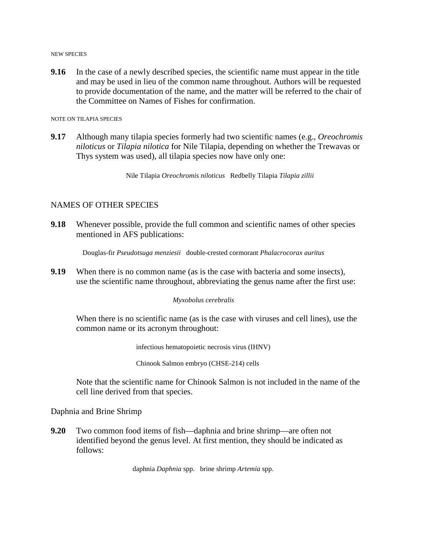NEW SPECIES

**9.16** In the case of a newly described species, the scientific name must appear in the title and may be used in lieu of the common name throughout. Authors will be requested to provide documentation of the name, and the matter will be referred to the chair of the Committee on Names of Fishes for confirmation.

NOTE ON TILAPIA SPECIES

**9.17** Although many tilapia species formerly had two scientific names (e.g., *Oreochromis niloticus* or *Tilapia nilotica* for Nile Tilapia, depending on whether the Trewavas or Thys system was used), all tilapia species now have only one:

Nile Tilapia *Oreochromis niloticus* Redbelly Tilapia *Tilapia zillii*

### NAMES OF OTHER SPECIES

**9.18** Whenever possible, provide the full common and scientific names of other species mentioned in AFS publications:

Douglas-fir *Pseudotsuga menziesii* double-crested cormorant *Phalacrocorax auritus*

**9.19** When there is no common name (as is the case with bacteria and some insects), use the scientific name throughout, abbreviating the genus name after the first use:

#### *Myxobolus cerebralis*

When there is no scientific name (as is the case with viruses and cell lines), use the common name or its acronym throughout:

infectious hematopoietic necrosis virus (IHNV)

Chinook Salmon embryo (CHSE-214) cells

Note that the scientific name for Chinook Salmon is not included in the name of the cell line derived from that species.

Daphnia and Brine Shrimp

**9.20** Two common food items of fish—daphnia and brine shrimp—are often not identified beyond the genus level. At first mention, they should be indicated as follows:

daphnia *Daphnia* spp. brine shrimp *Artemia* spp.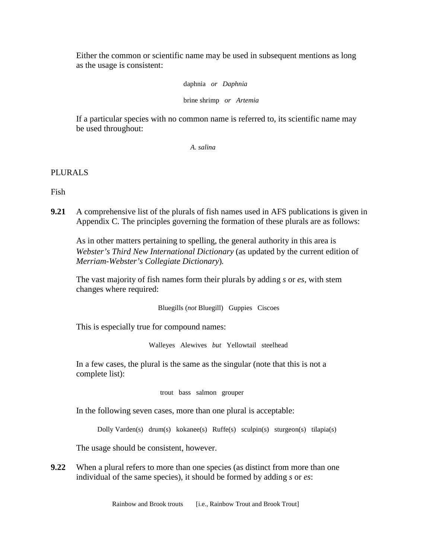Either the common or scientific name may be used in subsequent mentions as long as the usage is consistent:

daphnia *or Daphnia*

brine shrimp *or Artemia*

If a particular species with no common name is referred to, its scientific name may be used throughout:

*A. salina*

## PLURALS

Fish

**9.21** A comprehensive list of the plurals of fish names used in AFS publications is given in Appendix C. The principles governing the formation of these plurals are as follows:

As in other matters pertaining to spelling, the general authority in this area is *Webster's Third New International Dictionary* (as updated by the current edition of *Merriam-Webster's Collegiate Dictionary*)*.*

The vast majority of fish names form their plurals by adding *s* or *es*, with stem changes where required:

Bluegills (*not* Bluegill) Guppies Ciscoes

This is especially true for compound names:

Walleyes Alewives *but* Yellowtail steelhead

In a few cases, the plural is the same as the singular (note that this is not a complete list):

trout bass salmon grouper

In the following seven cases, more than one plural is acceptable:

Dolly Varden(s) drum(s) kokanee(s) Ruffe(s) sculpin(s) sturgeon(s) tilapia(s)

The usage should be consistent, however.

**9.22** When a plural refers to more than one species (as distinct from more than one individual of the same species), it should be formed by adding *s* or *es*:

Rainbow and Brook trouts [i.e., Rainbow Trout and Brook Trout]